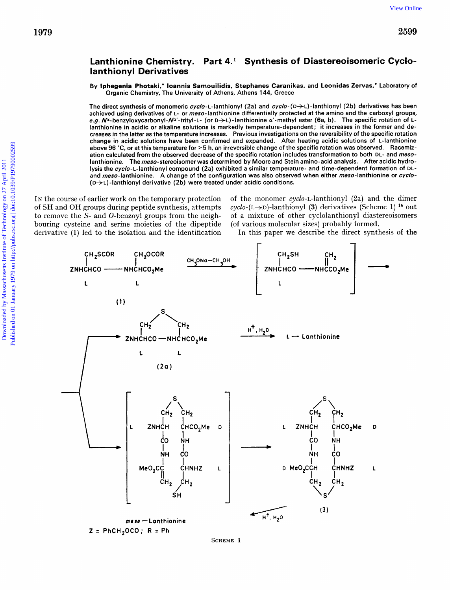## Lanthionine Chemistry. Part 4.<sup>1</sup> Synthesis of Diastereoisomeric Cyclo**lanthionyl Derivatives**

By lphegenia Photaki,' loannis Samouilidis, Stephanes Caranikas, and Leonidas Zervas,' Laboratory of Organic Chemistry, The University of Athens, Athens 144, Greece

The direct synthesis of monomeric cyclo-L-lanthionyl (2a) and cyclo- $(D\rightarrow L)$ -lanthionyl (2b) derivatives has been achieved using derivatives of L- or meso-lanthionine differentially protected at the amino and the carboxyl groups, e.g.  $N^{\alpha}$ -benzyloxycarbonyl- $N^{\alpha'}$ -trityl-L- (or D->L)-lanthionine  $\alpha'$ -methyl ester (6a, b). The specific rotation of Llanthionine in acidic or alkaline solutions is markedly temperature-dependent; it increases in the former and decreases in the latter as the temperature increases. Previous investigations on the reversibility of the specific rotation change in acidic solutions have been confirmed and expanded. After heating acidic solutions of L-lanthionine above 96 "C, or at this temperature for **>5** h, an irreversible change of the specific rotation was observed. Racemization calculated from the observed decrease of the specific rotation includes transformation to both DL- and mesolanthionine. The meso-stereoisomer was determined by Moore and Stein amino-acid analysis. After acidic hydrolysis the cyclo-L-lanthionyl compound (2a) exhibited a similar temperature- and time-dependent formation of DLand meso-lanthionine. A change of the configuration was also observed when either meso-lanthionine or cyclo- $(D\rightarrow L)$  -lanthionyl derivative (2b) were treated under acidic conditions.

IN the course of earlier work on the temporary protection of SH and OH groups during peptide synthesis, attempts to remove the *S-* and 0-benzoyl groups from the neighderivative **(1)** led to the isolation and the identification of the monomer  $cyclo$ -L-lanthionyl  $(2a)$  and the dimer cyclo-(L+D)-lanthionyl **(3)** derivatives (Scheme **1)** *lb* out of a mixture of other cyclolanthionyl diastereoisomers (of various molecular sizes) probably formed.

In this paper we describe the direct synthesis of the



**SCHEME 1**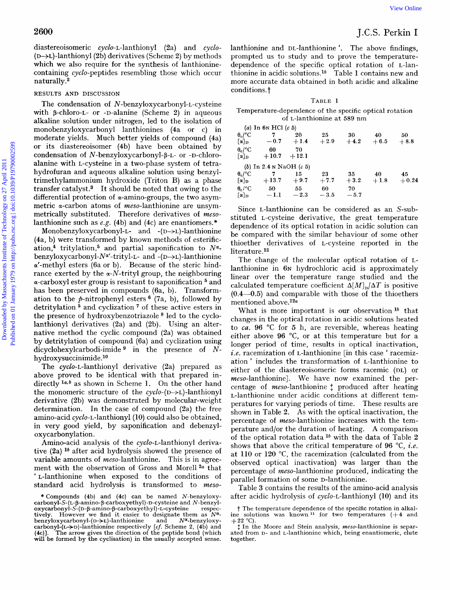diastereoisomeric cyclo-L-lanthionyl (2a) and cyclo-  $(D \rightarrow L)$ -lanthionyl (2b) derivatives (Scheme 2) by methods which we also require for the synthesis of lanthioninecontaining cyclo-peptides resembling those which occur naturally.

### RESULTS **AND** DISCUSSION

The condensation of **N-benzyloxycarbonyl-L-cysteine**  with  $\beta$ -chloro-L- or -D-alanine (Scheme 2) in aqueous alkaline solution under nitrogen, led to the isolation of monobenzyloxycarbonyl lanthionines (4a or c) in moderate yields. Much better yields of compound (4a) or its diastereoisomer (4b) have been obtained by condensation of N-benzyloxycarbonyl- $\beta$ -L- or -D-chloroalanine with L-cysteine in a two-phase system of tetrahydrofuran and aqueous alkaline solution using benzyltrimethylammonium hydroxide (Triton B) as a phase transfer catalyst.<sup>3</sup> It should be noted that owing to the differential protection of a-amino-groups, the two asymmetric  $\alpha$ -carbon atoms of *meso*-lanthionine are unsymmetrically substituted. Therefore derivatives of *meso*lanthionine such as *e.g.* (4b) and (4c) are enantiomers.\* 2600 [View Online](http://dx.doi.org/10.1039/p19790002599) distances<br>institute of Technology (26) and cycle antihionine and n-hamiltonine . The above field<br>institute on this controller the probability of the probability of the<br>signal point of the field of the pro

Monobenzyloxycarbonyl-L- and  $-(D\rightarrow L)$ -lanthionine (4a, b) were transformed by known methods of esterification,<sup>4</sup> tritylation,<sup>5</sup> and partial saponification to  $N^{\alpha}$ benzyloxycarbonyl-N<sup>a'</sup>-trityl-L- and -(D->L)-lanthionine  $\alpha'$ -methyl esters (6a or b). Because of the steric hindrance exerted by the  $\alpha$ -N-trityl group, the neighbouring  $\alpha$ -carboxyl ester group is resistant to saponification  $5$  and has been preserved in compounds (6a, b). Transformation to the  $p$ -nitrophenyl esters<sup>6</sup> (7a, b), followed by detritylation  $5$  and cyclization  $7$  of these active esters in the presence of hydroxybenzotriazole  $8$  led to the cyclolanthionyl derivatives (2a) and (2b). Using an alternative method the cyclic compound (2a) was obtained by detritylation of compound (6a) and cyclization using dicyclohexylcarbodi-imide <sup>9</sup> in the presence of Nhydroxysuccinimide.<sup>10</sup>

The cyclo-L-lanthionyl derivative (2a) prepared as above proved to be identical with that prepared indirectly  $1a, b$  as shown in Scheme 1. On the other hand the monomeric structure of the  $cyclo-(D\rightarrow L)$ -lanthionyl derivative (2b) was demonstrated by molecular-weight determination. In the case of compound (2a) the free amino-acid cyclo-L-lanthionyl (10) could also be obtained, in very good yield, by saponification and debenzyloxycarbonylation.

Amino-acid analysis of the cyclo-L-lanthionyl derivative  $(2a)$  <sup>16</sup> after acid hydrolysis showed the presence of variable amounts of meso-lanthionine. This is in agreement with the observation of Gross and Morell<sup>2a</sup> that ' L-lanthionine when exposed to the conditions of standard acid hydrolysis is transformed to *meso-*  lanthionine and DL-lanthionine '. The above findings, prompted us to study and to prove the temperaturedependence of the specific optical rotation of L-lanthionine in acidic solutions.lb Table **1** contains new and more accurate data obtained in both acidic and alkaline conditions.

### **TABLE 1**

### Temperature-dependence of the specific optical rotation of L-lanthionine at 589 nm

|                                     | (a) In 6 <sub>N</sub> HCl $(c 5)$                |        |        |        |        |         |
|-------------------------------------|--------------------------------------------------|--------|--------|--------|--------|---------|
| $\theta_c$ /°C                      | 7                                                | 20     | 25     | 30     | 40     | 50      |
| $[\alpha]_{\textbf{D}}$             | $-0.7$                                           | $+1.4$ | $+2.9$ | $+4.2$ | $+6.5$ | $+8.8$  |
| $\theta_{\rm c}/^{\circ}C$          | 60                                               | 70     |        |        |        |         |
| $\lceil \alpha \rceil$ <sub>D</sub> | $+10.7 + 12.1$                                   |        |        |        |        |         |
|                                     | (b) In 2.4 $\mu$ NaOH (c 5)                      |        |        |        |        |         |
| $\theta_c$ /°C                      | $\overline{7}$                                   | 15     | 23     | 35     | 40     | 45      |
|                                     | $\lbrack \alpha \rbrack_{\text{D}} \qquad +13.7$ | $+9.7$ | $+7.7$ | $+3.2$ | $+1.8$ | $+0.24$ |
| $\theta_c$ /°C                      | 50                                               | 55     | 60     | -70    |        |         |
| $\lceil \alpha \rceil_D$            | $-1.1$                                           | $-2.3$ | $-3.5$ | $-5.7$ |        |         |

Since L-lanthionine can be considered as an S-substituted L-cysteine derivative, the great temperature dependence of its optical rotation in acidic solution can be compared with the similar behaviour of some other thioether derivatives of L-cysteine reported in the literature.12

The change of the molecular optical rotation of Llanthionine in 6N hydrochloric acid is approximately linear over the temperature range studied and the calculated temperature coefficient  $\Delta [M]_n / \Delta T$  is positive  $(0.4-0.5)$  and comparable with those of the thioethers mentioned above.<sup>12a</sup>

What is more important is our observation  $1<sup>b</sup>$  that changes in the optical rotation in acidic solutions heated to *ca.* 96 **"C** for 5 h, are reversible, whereas heating either above 96 "C, or at this temperature but for a longer period of time, results in optical inactivation, *i.e.* racemization of L-lanthionine [in this case ' racemization ' includes the transformation of L-lanthionine to either of the diastereoisomeric forms racemic (DL) or meso-lanthionine]. We have now examined the percentage of *meso*-lanthionine  $\ddagger$  produced after heating L-lanthionine under acidic conditions at different temperatures for varying periods of time. These results are shown in Table 2. As with the optical inactivation, the percentage of meso-lanthionine increases with the temperature and/or the duration of heating. **A** comparison of the optical rotation data  $^{1b}$  with the data of Table 2 shows that above the critical temperature of 96 "C, *i.e.*  at 110 or 120 "C, the racemization (calculated from the observed optical inactivation) was larger than the percentage of meso-lanthionine produced, indicating the parallel formation of some D-lanthionine.

Table **3** contains the results of the amino-acid analysis after acidic hydrolysis of cyclo-L-lanthionyl (10) and its

<sup>\*</sup>Compounds (4b) and (4c) can be named N-benzyloxy**carbonyl-S-(L-P-amino-P-carboxyethyl)-D-cysteine** and N-benzyl**oxycarbonyl-S-(D-P-amino-P-carboxyethyl)-L-cysteine** respec-tively. However we find it easier to designate them as Nubenzyloxycarbonyl-(D->L)-lanthionine and  $N^{\alpha}$ -benzyloxy-<br>carbonyl-(L->D)-lanthionine respectively *[cf.* Scheme 2, (4b) and (4c)J. The arrow gives the direction of the peptide bond (which will **be** formed by the cyclisation) in the usually accepted sense.

t The temperature dependence of the specific rotation in alkal-ine solutions was known **l1 for** two temperatures **(+4** and  $+22$  °C).

<sup>&</sup>lt;sup>t</sup> In the Moore and Stein analysis, meso-lanthionine is separated from D- and L-lanthionine which, being enantiomeric, elute together.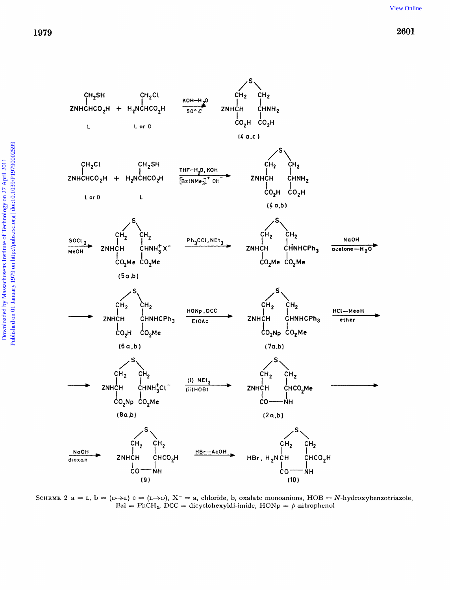

SCHEME 2 a = L,  $b = (D \rightarrow L)$  c =  $(L \rightarrow D)$ ,  $X^-$  = a, chloride, b, oxalate monoanions, HOB = N-hydroxybenzotriazole,  $Bzl = PhCH<sub>2</sub>$ , DCC = dicyclohexyldi-imide,  $HONp = p$ -nitrophenol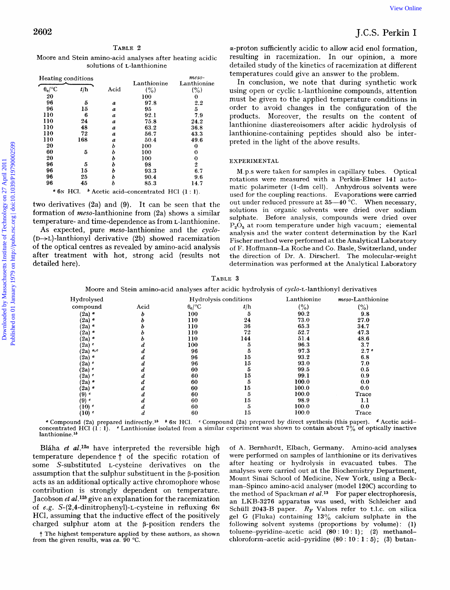# **2602** J.C.S. **Perkin** I

### TABLE **2**

Moore and Stein amino-acid analyses after heating acidic solutions of L-lanthionine

|                                                           |                                                                     |         |                                                                                                |                                                            |              |                                                                                               | <b>View Online</b>                                                                                               |  |
|-----------------------------------------------------------|---------------------------------------------------------------------|---------|------------------------------------------------------------------------------------------------|------------------------------------------------------------|--------------|-----------------------------------------------------------------------------------------------|------------------------------------------------------------------------------------------------------------------|--|
| 2602                                                      |                                                                     |         |                                                                                                |                                                            |              |                                                                                               | J.C.S. Perkin I                                                                                                  |  |
|                                                           |                                                                     | TABLE 2 |                                                                                                |                                                            |              |                                                                                               | a-proton sufficiently acidic to allow acid enol formation,                                                       |  |
|                                                           |                                                                     |         | Moore and Stein amino-acid analyses after heating acidic<br>solutions of <i>L</i> -lanthionine |                                                            |              |                                                                                               | resulting in racemization. In our opinion, a more<br>detailed study of the kinetics of racemization at different |  |
| Heating conditions                                        |                                                                     |         |                                                                                                | $meso-$                                                    |              |                                                                                               | temperatures could give an answer to the problem.                                                                |  |
| $\theta_c$ /°C                                            | t/h                                                                 | Acid    | Lanthionine<br>(%)                                                                             | Lanthionine<br>(%)                                         |              |                                                                                               | In conclusion, we note that during synthetic work<br>using open or cyclic L-lanthionine compounds, attention     |  |
| 20<br>96                                                  | 5                                                                   | a       | 100<br>97.8                                                                                    | $\bf{0}$<br>2.2                                            |              |                                                                                               | must be given to the applied temperature conditions in                                                           |  |
| 96                                                        | 15                                                                  | а       | 95                                                                                             | 5                                                          |              |                                                                                               | order to avoid changes in the configuration of the                                                               |  |
| 110                                                       | 6                                                                   | a       | 92.1                                                                                           | 7.9                                                        |              |                                                                                               | products. Moreover, the results on the content of                                                                |  |
| 110                                                       | 24                                                                  | a       | 75.8                                                                                           | 24.2                                                       |              |                                                                                               | lanthionine diastereoisomers after acidic hydrolysis of                                                          |  |
| 110                                                       | 48                                                                  | a       | 63.2                                                                                           | 36.8                                                       |              |                                                                                               |                                                                                                                  |  |
| 110<br>110                                                | 72<br>168                                                           | а       | 56.7<br>50.4                                                                                   | 43.3<br>49.6                                               |              |                                                                                               | lanthionine-containing peptides should also be inter-                                                            |  |
| 20                                                        |                                                                     | a<br>b  | 100                                                                                            | $\bf{0}$                                                   |              | preted in the light of the above results.                                                     |                                                                                                                  |  |
| 60                                                        | 5                                                                   | b       | 100                                                                                            | $\bf{0}$                                                   |              |                                                                                               |                                                                                                                  |  |
| 20                                                        |                                                                     | b       | 100                                                                                            | 0                                                          | EXPERIMENTAL |                                                                                               |                                                                                                                  |  |
| 96                                                        | 5                                                                   | b       | 98                                                                                             | 2                                                          |              |                                                                                               |                                                                                                                  |  |
| 96                                                        | 15                                                                  | b       | 93.3                                                                                           | 6.7                                                        |              |                                                                                               | M.p.s were taken for samples in capillary tubes. Optical                                                         |  |
| 96                                                        | 25                                                                  | b       | 90.4                                                                                           | 9.6                                                        |              |                                                                                               | rotations were measured with a Perkin-Elmer 141 auto-                                                            |  |
| 96                                                        | 45                                                                  | b       | 85.3                                                                                           | 14.7                                                       |              |                                                                                               | matic polarimeter (1-dm cell). Anhydrous solvents were                                                           |  |
|                                                           |                                                                     |         | $\bullet$ 6N HCl. $\bullet$ Acetic acid-concentrated HCl (1:1).                                |                                                            |              |                                                                                               | used for the coupling reactions. Evaporations were carried                                                       |  |
|                                                           |                                                                     |         |                                                                                                | two derivatives $(2a)$ and $(9)$ . It can be seen that the |              |                                                                                               | out under reduced pressure at $35-40$ °C. When necessary,                                                        |  |
|                                                           |                                                                     |         |                                                                                                | formation of meso-lanthionine from (2a) shows a similar    |              |                                                                                               | solutions in organic solvents were dried over sodium                                                             |  |
|                                                           |                                                                     |         |                                                                                                |                                                            |              |                                                                                               | sulphate. Before analysis, compounds were dried over                                                             |  |
| temperature- and time-dependence as from L-lanthionine.   |                                                                     |         | $P_2O_5$ at room temperature under high vacuum; elemental                                      |                                                            |              |                                                                                               |                                                                                                                  |  |
|                                                           | As expected, pure meso-lanthionine and the cyclo-                   |         |                                                                                                | analysis and the water content determination by the Karl   |              |                                                                                               |                                                                                                                  |  |
|                                                           | $(D \rightarrow L)$ -lanthionyl derivative (2b) showed racemization |         |                                                                                                |                                                            |              |                                                                                               | Fischer method were performed at the Analytical Laboratory                                                       |  |
| of the optical centres as revealed by amino-acid analysis |                                                                     |         |                                                                                                |                                                            |              |                                                                                               | of F. Hoffmann-La Roche and Co. Basle, Switzerland, under                                                        |  |
| after treatment with hot, strong acid (results not        |                                                                     |         |                                                                                                |                                                            |              |                                                                                               | the direction of Dr. A. Dirscherl. The molecular-weight                                                          |  |
| detailed here).                                           |                                                                     |         |                                                                                                |                                                            |              |                                                                                               | determination was performed at the Analytical Laboratory                                                         |  |
|                                                           |                                                                     |         |                                                                                                |                                                            | TABLE 3      |                                                                                               |                                                                                                                  |  |
|                                                           |                                                                     |         |                                                                                                |                                                            |              | Moore and Stein amino-acid analyses after acidic hydrolysis of cyclo-L-lanthionyl derivatives |                                                                                                                  |  |
|                                                           | Hydrolysed                                                          |         |                                                                                                | Hydrolysis conditions                                      |              | Lanthionine                                                                                   | meso-Lanthionine                                                                                                 |  |
|                                                           | compound                                                            |         | Acid                                                                                           | $0_c$ /°C                                                  | t/h          | (% )                                                                                          | (% )                                                                                                             |  |
|                                                           | $(2a)$ $\circ$                                                      |         | ь                                                                                              | 100                                                        | $\bf 5$      | 90.2                                                                                          | 9.8                                                                                                              |  |
|                                                           | $(2a)$ $\circ$                                                      |         | ь                                                                                              | 110                                                        | 24           | 73.0                                                                                          | 27.0                                                                                                             |  |
|                                                           | $(2a)$ $\circ$                                                      |         | b                                                                                              | 110                                                        | 36           | 65.3                                                                                          | 34.7                                                                                                             |  |
|                                                           | $(2a)$ <sup>a</sup><br>$(2a)$ $\circ$                               |         | ь<br>b                                                                                         | 110<br>110                                                 | 72<br>144    | 52.7<br>51.4                                                                                  | 47.3<br>48.6                                                                                                     |  |
|                                                           | $(2a)$ c                                                            |         | А                                                                                              | 100                                                        | -5           | 96.3                                                                                          | 37                                                                                                               |  |

### EXPERIMENTAL

**TABLE 3** 

| Hydrolysed        |      | Hydrolysis conditions |     | Lanthionine | <i>meso</i> -Lanthionine |
|-------------------|------|-----------------------|-----|-------------|--------------------------|
| compound          | Acid | $0_c$ /°C             | t/h | (%)         | (% )                     |
| (2a) "            | b    | 100                   | 5   | 90.2        | 9.8                      |
| (2a)              |      | 110                   | 24  | 73.0        | 27.0                     |
| (2a) "            |      | 110                   | 36  | 65.3        | 34.7                     |
| $(2a)$ $^a$       |      | 110                   | 72  | 52.7        | 47.3                     |
| (2a) "            |      | 110                   | 144 | 51.4        | 48.6                     |
| $(2a)$ $^c$       |      | 100                   | 5   | 96.3        | 3.7                      |
| $(2a)$ a,c        |      | 96                    | 5   | 97.3        | 2.7 <sup>e</sup>         |
| $(2a)$ $\sigma$   |      | 96                    | 15  | 93.2        | 6.8                      |
| $(2a)$ $^c$       |      | 96                    | 15  | 93.0        | 7.0                      |
| $(2a)$ $^c$       |      | 60                    | 5   | 99.5        | 0.5                      |
| $(2a)$ $^c$       |      | 60                    | 15  | 99.1        | 0.9                      |
| $(2a)$ $\circ$    |      | 60                    | 5   | 100.0       | 0.0                      |
| $(2a)$ $\circ$    |      | 60                    | 15  | 100.0       | 0.0                      |
| (9) c             |      | 60                    | 5   | 100.0       | Trace                    |
| $(9)$ $^{\circ}$  |      | 60                    | 15  | 98.9        | 1.1                      |
| $(10)$ $^{\circ}$ |      | 60                    | 5   | 100.0       | 0.0                      |
| $(10)$ $^{\circ}$ | ₫    | 60                    | 15  | 100.0       | Trace                    |

<sup>*4*</sup> Compound (2a) prepared indirectly.<sup>16</sup>  $\bullet$  6N HCl. <sup>*e*</sup> Compound (2a) prepared by direct synthesis (this paper). <sup>*4*</sup> Acetic acid-concentrated HCl (1:1). *<sup><i>e*</sup> Lanthionine isolated from a similar experiment was **lanthionine.** *Ib* 

Bláha *et al.*<sup>12a</sup> have interpreted the reversible high temperature dependence  $\dagger$  of the specific rotation of some S-substituted L-cysteine derivatives on the assumption that the sulphur substituent in the  $\beta$ -position acts as an additional optically active chromophore whose contribution is strongly dependent on temperature. Jacobson *et al.*<sup>12b</sup> give an explanation for the racemization of *e.g.* S-(2.4-dinitrophenyl)-L-cysteine in refluxing 6N HCl, assuming that the inductive effect of the positively charged sulphur atom at the  $\beta$ -position renders the

t **The highest temperature applied by these authors, as shown** 

**from the given results, was** *ca.* **90** "C.

of A. Bernhardt, Elbach, Germany. Amino-acid analyses were performed on samples of lanthionine or its derivatives after heating or hydrolysis in evacuated tubes. The analyses were carried out at the Biochemistry Department, Mount Sinai School of Medicine, New York, using a Beckman-Spinco amino-acid analyser (model 120C) according to the method of Spackman  $et al.^{13}$  For paper electrophoresis, an LKB-3276 apparatus was used, with Schleicher and Schüll 2043-B paper.  $R_F$  Values refer to t.l.c. on silica gel G (Fluka) containing 13% calcium sulphate in the following solvent systems (proportions by volume): (1) toluene-pyridine-acetic acid **(80** : 10 : 1); (2) methanoichloroformn-acetic acid-pyridine (80 : **10** : **1** : **5)** ; **(3)** butan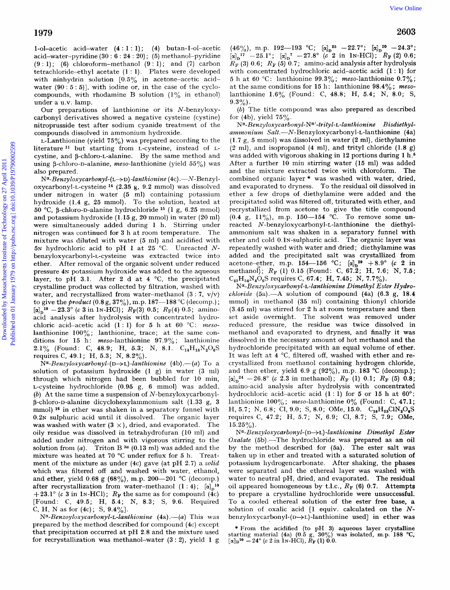1-ol-acetic acid-water  $(4:1:1)$ ;  $(4)$  butan-1-ol-acetic acid-water-pyridine (30 : **6** : 24 : 20) ; *(5)* methanol-pyridine  $(9:1)$ ; (6) chloroform-methanol  $(9:1)$ ; and  $(7)$  carbon tetrachloride-ethyl acetate (1 : 1). Plates were developed with ninhydrin solution  $[0.5\%$  in acetone-acetic acidwater  $(90:5:5)$ , with iodine or, in the case of the cyclocompounds, with rhodamine B solution **(1%** in ethanol) under a u.v. lamp.

Our preparations of lanthionine or its N-benzyloxycarbonyl derivatives showed a negative cysteine (cystine) nitroprusside test after sodium cyanide treatment of the compounds dissolved in ammonium hydroxide.

 $L$ -Lanthionine (yield 75%) was prepared according to the literature **l1** but starting from L-cysteine, instead of Lcystine, and  $\beta$ -chloro-L-alanine. By the same method and using  $\beta$ -chloro-D-alanine, meso-lanthionine (yield 55%) was also prepared.

 $N^{\alpha}$ -*Benzyloxycarbonyl*-(L→D)-lanthionine (4c) .-N-Benzyloxycarbonyl-L-cysteine *l4* (2.35 g, 9.2 mmol) was dissolved under nitrogen in water *(5* ml) containing potassium hydroxide (1.4 g, 25 mmol). To the solution, heated at 50 "C, P-chloro-D-alanine hydrochloride **l5** (1 *g,* 6.25 mmol) and potassium hydroxide (1.15 g, 20 mmol) in water (20 ml) were simultaneously added during 1 h. Stirring under nitrogen was continued for 3 h at room temperature. The mixture was diluted with water *(5* ml) and acidified with 5<sup>N</sup> hydrochloric acid to pH 1 at 25 °C. Unreacted *N***benzyloxycarbonyl-L-cysteine** was extracted twice into ether. After removal of the organic solvent under reduced pressure 4N potassium hydroxide was added to the aqueous layer, to pH 3.1. After 2 d at 4  $^{\circ}$ C, the precipitated crystalline product was collected by filtration, washed with water, and recrystallized from water-methanol  $(3:7, v/v)$ to give the *product* (0.8 g, 37%), m.p. 187-188 °C (decomp.);  $\left[\alpha\right]_n^{19} - 23.3^\circ$  *(c* 3 in 1N-HCl);  $R_F(3)$  0.5;  $R_F(4)$  0.5; aminoacid analysis after hydrolysis with concentrated hydrochloric acid-acetic acid  $(1:1)$  for 5 h at  $60$  °C: *meso*lanthionine  $100\%$ ; lanthionine, trace; at the same conditions for 15 h:  $meso$ -lanthionine 97.9%; lanthionine 2.1% (Found: C, 48.9; H, 5.3; N, 8.1.  $C_{14}H_{18}N_2O_6S$ requires C, 49.1; H, 5.3; *N,* 8.2%). 1979 [View Online](http://dx.doi.org/10.1039/p19790002599)<br>
1979 View Online (14:11.1): (6) betan-1-of-actic (49%), mp. 108-103 °C; falls  $\approx 260$ <br>
setter-with channel consideration in the setter control of Technology on 27 April 2012<br>
or the channel consideratio

*Na-Benzyloxycarbonyl-* **(D+L)** *-1anthionine* (4b) *.-(a)* To a solution of potassium hydroxide (1 g) in water **(3** ml) through which nitrogen had been bubbled for 10 min, L-cysteine hydrochloride (0.95 g, 6 mmol) was added. *(b)* At the same time a suspension of N-benzyloxycarbonylp-chloro-D-alanine dicyclohexylammonium salt ( 1.33 g, 3 mmol)<sup>16</sup> in ether was shaken in a separatory funnel with 0.2N sulphuric acid until it dissolved. The organic layer was washed with water  $(3 \times)$ , dried, and evaporated. The oily residue was dissolved in tetrahydrofuran (10 ml) and added under nitrogen and with vigorous stirring to the solution from *(a).* Triton B *3a* **(0.13** ml) was added and the mixture was heated at 70 "C under reflux for *5* h. Treatment of the mixture as under (4c) gave (at pH 2.7) a *solid*  which was filtered off and washed with water, ethanol, and ether, yield 0.68 g (68%), m.p. 200-201 °C (decomp.) after recrystallization from water-methanol  $(1:4)$ ;  $[\alpha]_0^{19}$  $+23.1^{\circ}$  (c 3 in IN-HCl);  $R_F$  the same as for compound (4c) [Found: C, 49.5; H, 5.4; *N,* **8.3;** S, 9.6. Required C, H, N as for (4c); **S,** 9.4%].

*N*<sup> $\alpha$ </sup>-*Benzoyloxycarbonyl*-*L*-lanthionine (4a).—(a) This was prepared by the method described for compound (4c) except that precipitation occurred at pH 2.8 and the mixture used for recrystallization was methanol-water **(3** : 2), yield **1** g

 $(46\%)$ , m.p. 192—193 °C;  $[\alpha]_n^{25}$  -22.7°;  $[\alpha]_n^{20}$  -24.3°  $[\alpha]_D^{-17}$  -25.1°;  $[\alpha]_D^7$  -27.8°  $(\tilde{c}^2 \text{ in } \text{1N-HCl})$ ;  $R_F(2)$  0.6;  $R_F^{\dagger}$  (3) 0.6;  $R_F$  (5) 0.7; amino-acid analysis after hydrolysis with concentrated hydrochloric acid-acetic acid (1 : 1) for *5* h at 60 "C: lanthionine 99.3%; meso-lanthionine 0.7%; at the same conditions for 15 h: lanthionine 98.4% ; *meso*lanthionine 1.6% (Found: C, 48.8; H, 5.4; *N,* **8.0;** S,  $9.3\%$ ).

*(b)* The title compound was also prepared as described for  $(4b)$ , yield  $75\%$ .

N<sup>a</sup>-Benzyloxycarbonyl-N<sup>a</sup>'-trityl-L-lanthionine Bisdiethyl*aininonium* **Salt.-N-Benzyloxycarbonyl-L-lanthionine** (4a) (1.7 g, *5* mmol) was dissolved in water (2 ml), diethylamine (2 ml), and isopropanol (4 ml), and trityl chloride (1.8 *g)*  was added with vigorous shaking in 12 portions during 1 h.<sup>5</sup> After a further 10 min stirring water (15 ml) was added and the mixture extracted twice with chloroform. **The**  combined organic layer \* was washed with water, dried, and evaporated to dryness. To the residual oil dissolved in ether a few drops of diethylamine were added and the precipitated solid was filtered off, triturated with ether, and recrystallized from acetone to give the title compound  $(0.4 \text{ g}, 11\%)$ , m.p. 150-154 °C. To remove some unreacted **N-benzyloxycarbonyl-L-lanthionine** the diethylammonium salt was shaken in a separatory funnel with ether and cold 0.1N-sulphuric acid. The organic layer was repeatedly washed with water and dried; diethylamine was added and the precipitated salt was crystallized from acetone-ether, m.p. 154—156 °C;  $[\alpha]_n^{29} + 8.9$ ° (c 2 in methanol); *Rp* (1) 0.15 (Found: C, 67.2; H, 7.6; *N,* 7.6;  $C_{41}H_{54}N_4O_6S$  requires C, 67.4; H, 7.45; N, 7.7%).

*Na-Benzyloxycarbonyl-L-lanthionine Dimethyl Ester Hydro* $chloride$   $(5a)$ .<sup>--</sup>A solution of compound  $(4a)$   $(6.3 g, 18.4$ mmol) in methanol (35 nil) containing thionyl chloride (3.45 ml) was stirred for 2 h at room temperature and then set aside overnight. The solvent was removed under reduced pressure, the residue was twice dissolved in methanol and evaporated to dryness, and finally it was dissolved in the necessary amount of hot methanol and the hydrochloride precipitated with an equal volume of ether. It was left at 4 "C, filtered off, washed with ether and recrystallized from methanol containing hydrogen chloride, and then ether, yield  $6.9$  g ( $92\%$ ), m.p. 183 °C (decomp.);  $[\alpha]_n^{24}$  -26.8° (c 2.3 in methanol);  $R_F$  (1) 0.1;  $R_F$  (5) 0.8; amino-acid analysis after hydrolysis with concentrated hydrochloric acid-acetic acid  $(1:1)$  for 5 or 15 h at 60°: lanthionine  $100\%$ ; meso-lanthionine  $0\%$  (Found: C, 47.1; H, 5.7; N, 6.8; Cl, 9.0; S, 8.0; OMe, 15.0. C<sub>16</sub>H<sub>23</sub>ClN<sub>2</sub>O<sub>6</sub>S requires C, 47.2; H, 5.7; *N,* 6.9; C1, 8.7; S, 7.9; OMe,  $15.25\%$ ).

*Na-Benzyloxycarbonyl-* ( **DjL)** *-1anthionine Dimethyl Ester Oxalate* (5b).—The hydrochloride was prepared as an oil by the method described for (5a). The ester salt was taken up in ether and treated with a saturated solution of potassium hydrogencarbonate. After shaking, the phases were separated and the ethereal layer was washed with water to neutral pH, dried, and evaporated. The residual oil appeared homogeneous by t.l.c.,  $R_F$  (6) 0.7. Attempts to prepare a crystalline hydrochloride were unsuccessful. To a cooled ethereal solution of the ester free base, **a**  solution of oxalic acid [l equiv. calculated on the *N***benzylosycarbonyl-(DjL)-lanthionine** used] in ether was

\* From the acidified (to pH 3) aqueous layer crystalline starting material (4a) (0.5 g, 30%) was isolated, m.p. 188 °C,  $[\alpha]_D^{20} - 24^\circ$  (c 2 in 1N-HCl),  $R_F$  (1) 0.0.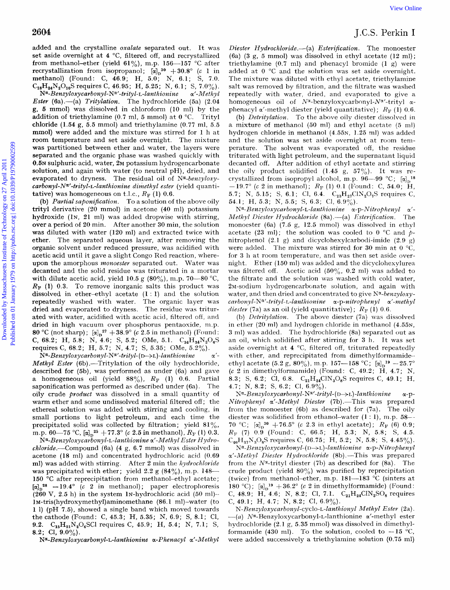added and the crystalline *oxalate* separated out. It was set aside overnight at 4 °C, filtered off, and recrystallized from methanol-ether (yield  $61\%$ ), m.p. 156-157 °C after recrystallization from isopropanol;  $\left[\alpha\right]_D{}^{30} + 30.8^\circ$  *(c 1 in*) methanol) (Found: C, 46.9; H, 5.0; N, 6.1; S, 7.0.  $C_{18}H_{24}N_2O_{10}S$  requires C, 46.95; H, 5.25; N, 6.1; S, 7.0%).<br> $N^{\alpha}$ -Benzyloxycarbonyl-N<sup>α'</sup>-trityl-L-lanthionine α'-Methyl  $N^{\alpha}$ -Benzyloxycarbonyl-N<sup>a</sup>'-trityl-L-lanthionine *Ester* (6a) .-- (a) *Tritylation*. The hydrochloride (5a) (2.04 **g,** *5* mmol) was dissolved in chloroforni (10 ml) by the addition of triethylamine (0.7 ml, *5* mmol) at *0* "C. Trityl chloride  $(1.54 \text{ g}, 5.5 \text{ mmol})$  and triethylamine  $(0.77 \text{ ml}, 5.5 \text{ mmol})$ mmol) were added and the mixture was stirred for **1** h at room temperature and set aside overnight. The mixture **was** partitioned between ether and water, the layers were separated and the organic phase was washed quickly with 0.5N sulphuric acid, water, 2M potassium hydrogencarbonate solution, and again with water (to neutral pH), dried, and evaporated to dryness. The residual oil of *Na-benzyloxycarbonyl-N<sup>a'</sup>-trityl-L-lanthionine dimethyl ester* (yield quantitative) was homogeneous on t.l.c.,  $R_F$  (1) 0.6. 28004<br>
16.5. Prichline on the system of out. It was Deter Hydrodoveds.-65 Enchine 1.C. SPENINE Commenter from the members of the Distribution from 2013 and the system of the system of the system of the system of the syste

(b) *Partial saponification*. To a solution of the above oily trityl derivative (20 mmol) in acetone (40 ml) potassium hydroxide ( $\ln$ , 21 ml) was added dropwise with stirring, over a period of 20 min. After another 30 min, the solution was diluted with water (120 ml) and extracted twice with ether. The separated aqueous layer, after removing the organic solvent under reduced pressure, was acidified with acetic acid until it gave a slight Congo Red reaction, whereupon the amorphous *monoester* separated out. Water was decanted and the solid residue was triturated in a mortar with dilute acetic acid, yield 10.5 g  $(80\%)$ , m.p. 70-80 °C,  $R_F$  (1) 0.3. To remove inorganic salts this product was dissolved in ether-ethyl acetate **(1** : 1) and the solution repeatedly washed with water. The organic layer was dried and evaporated to dryness. The residue was triturated with water, acidified with acetic acid, filtered oft, and dried in high vacuum over phosphorus pentaoxide, m.p. 80 °C (not sharp);  $\left[\alpha\right]_n^{27} + 38.9^\circ$  *(c* 2.5 in methanol) (Found: C, 68.2; H, 5.8; N, 4.6; S, *5.2;* OMe, **5.1.** *C,4H,4N,0,S*  requires C, 68.2; H, 5.7; N, 4.7; S, 5.35; OMe, 5.2%).

 $\alpha'$ -*Methyl Ester* (6b).—Tritylation of the oily hydrochloride, described for (5b), was performed as under (6a) and gave a homogeneous oil (yield  $88\%$ ),  $R_F$  (1) 0.6. Partial saponification was performed as described under  $(6a)$ . The oily crude *product* was dissolved in a small quantity of warm ether and some undissolved material filtered off; the ethereal solution was added with stirring and cooling, in small portions to light petroleum, and each time the precipitated solid was collected by filtration; yield 81%, m.p. 60-75 °C,  $\left[\alpha\right]_0^{25}$  + 77.3° (c 2.5 in methanol),  $R_F$  (1) 0.3.  $\bar{N}^{\alpha}$ -Benzyloxycarbonyl-N<sup>a</sup>'-trityl-(D->L)-lanthionine

N<sup>x</sup>-Benzyloxycarbonyl-L-lanthionine x'-Methyl Ester Hydro $chloride$ .—Compound (6a) (4 g, 6.7 mmol) was dissolved in acetone (18 ml) and concentrated hydrochloric acid (0.69 ml) was added with stirring. After 2 min the *hydrochloride* was precipitated with ether; yield 2.2 g  $(84\%)$ , m.p. 148-150 °C after reprecipitation from methanol-ethyl acetate;  $\lbrack \alpha \rbrack_{n}^{28}$  - 19.4°  $\lbrack c$  2 in methanol); paper electrophoresis  $(260 \text{ V}, 2.5 \text{ h})$  in the system 1N-hydrochloric acid  $(50 \text{ ml})$ -**1M-tris(hydroxymethy1)aminomethane (86.1** m1)-water (to **1** 1) (pH **7.5),** showed a single band which moved towards thecathode (Found: C, 45.3; H, 5.35; N, 6.9; S, 8.1; C1, 9.2. **C<sub>15</sub>H<sub>21</sub>N<sub>2</sub>O<sub>6</sub>SCl requires C, 45.9; H, 5.4; N, 7.1; S,** 8.2; C1, **9.0%).** 

 $N^{\alpha}$ -Benzyloxycarbonyl-L-lanthionine α-Phenacyl α'-Methyl

## J.C.S. Perkin I

*Diester Hydrochloride.-(a) Esterijication.* The monoester (6a) (3 g, 5 mmol) was dissolved in ethyl acetate (12 ml); triethylamine (0.7 ml) and phenacyl bromide (1 g) were added at 0 "C and the solution was set aside overnight. The mixture was diluted with ethyl acetate, triethylamine salt was removed by filtration, and the filtrate was washed repeatedly with water, dried, and evaporated to give **a**  homogeneous oil of  $N^{\alpha}$ -benzyloxycarbonyl- $N^{\alpha}$ -trityl  $\alpha$ phenacyl  $\alpha'$ -methyl diester (yield quantitative):  $R_{\rm F}$  (1) 0.6.

(b) *Detritylation*. To the above oily diester dissolved in a mixture of methanol (50 ml) and ethyl acetate (5 nil) hydrogen chloride in methanol (4.55<sub>N</sub>, 1.25 ml) was added and the solution was set aside overnight at room temperature. The solvent was evaporated off, the residue triturated with light petroleum, and the supernatant liquid decanted off. After addition of ethyl acetate and stirring the oily product solidified  $(1.45 \text{ g}, 57\%)$ . It was recrystallized from isopropyl alcohol, m.p.  $96-99$  °C;  $\alpha \sqrt{2}$ <sup>18</sup>  $-19.7^{\circ}$  (c 2 in methanol);  $R_F$  (1) 0.1 (Found: C, 54.0; H, 5.7; N, 5.15; S, 6.1; Cl, 6.4.  $C_{23}H_{27}C1N_2O_7S$  requires C, 54.1; H, 5.3; N, 5.5; S, 6.3; Cl,  $6.9\%$ ).

 $N^{\alpha}$ -*Benzyloxycarbonyl-L-lanthionine α-p-Nitrophenyl α'-Methyl Diester Hydrochloride* (8a) .- (a) *Esterification*. The monoester (6a) (7.5 g, 12.5 mmol) was dissolved in ethyl acetate (23 ml); the solution was cooled to 0  $\degree$ C and  $p$ nitrophenol (2.1 g) and **dicyclohexylcarbodi-iniide** (2.0 g) were added. The mixture was stirred for 30 min at  $0^{\circ}$ C. for 3 h at room temperature, and was then set aside overnight. Ether (150 nil) was added and the dicyclohexylurea was filtered off. Acetic acid  $(50\%, 0.2 \text{ ml})$  was added to the filtrate and the solution was washed with cold water, 2M-sodium hydrogencarbonate solution, and again with water, and then dried and concentrated to give *N<sup>x</sup>*-benzyloxy- $\alpha$ *-arbonyl-N<sup>x'</sup>-trityl-t-lanthionine* x-p-nitrophenyl x'-methyl *diester* (7a) as an oil (yield quantitative);  $R_p$  (1) 0.6.

(b) *Detvitylation.* The above diester (7a) was dissolved in ether (20 ml) and hydrogen chloride in methanol **(4.55~,**  3 nil) was added. The hydrochloride (8a) separated out as an oil, which solidified after stirring for 3 h. It was set aside overnight at **4** "C, filtered off, triturated repeatedly with ether, and reprecipitated from dimethylformamideethyl acetate (5.2 g, 80%), m.p. 157—158 °C;  $[\alpha]_p^{19} - 25.7^\circ$  $(c 2$  in dimethylformamide) (Found: C,  $49.2$ ; H,  $4.7$ ; N, 8.3; S, 6.2; Cl, 6.8.  $C_{21}H_{24}CIN_{3}O_{8}S$  requires C, 49.1; H, **4.7;** *N,* 8.2; *S,* 6.2; C1, 6.9%).

 $N^{\alpha}$ -*Benzyloxycarbonyl*- $N^{\alpha}$ -trityl-(D->L)-lanthionine  $\alpha$ -p-*Nitrophenyl a'-Methyl Diester (7b)*.-This was prepared from the monoester **(6b)** as described for (7a). 'The oily diester was solidified from ethanol-water (1 : 1), m.p.  $58-$ 70 °C;  $[\alpha]_p^{30} + 76.5$ ° (*c* 2.3 in ethyl acetate);  $R_F$  (6) 0.9; *RT"* (7) 0.9 (Found: C, *66.5;* H, 5.3; N, 5.8; S, 4.5.  $C_{40}H_{37}N_3O_8S$  requires C, 66.75; H, 5.2; N, 5.8; S, 4.45%).

 $N^{\alpha}$ -Benzyloxycarbonyl-(D->L)-lanthionine  $\alpha$ -p-Nitrophenyl  $\alpha'$ -*Methyl Diester Hydrochloride* (8b) .-This was prepared from the  $N^{\alpha}$ -trityl diester (7b) as described for (8a). The crude product (yield 80%) was purified by reprecipitation (twice) from methanol-ether, m.p.  $181-183$  °C (sinters at 180 °C);  $[\alpha]_D^{19} + 36.2^{\circ}$  *(c 2 in dimethylformamide)* (Found: C, 48.9; H, 4.6; N, 8.2; Cl, 7.1.  $C_{21}H_{24}CIN_3SO_8$  requires C, 49.1; H, 4.7; N, 8.2; Cl,  $6.9\%$ ).

*N-Renzyloxycavbowyl-cyclo-L-lanthionyl Methyl Ester* (2a). *-(a)* **Na-Benzyloxycarbonyl-L-lanthionine** a'-methyl ester hydrochloride (2.1 g, 5.35 mmol) was dissolved in dimethylformamide (430 ml). To the solution, cooled to  $-15$  °C, were added successively a triethylamine solution (0.75 ml)